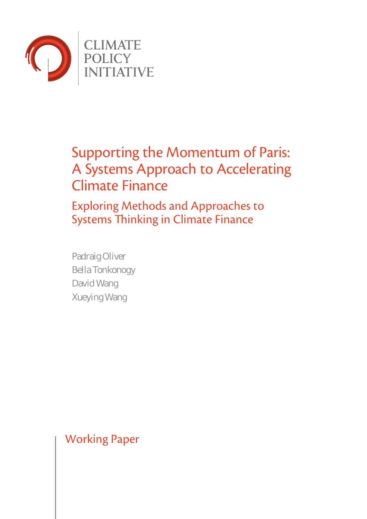

# Supporting the Momentum of Paris: A Systems Approach to Accelerating Climate Finance

Exploring Methods and Approaches to Systems Thinking in Climate Finance

Padraig Oliver Bella Tonkonogy David Wang Xueying Wang

Working Paper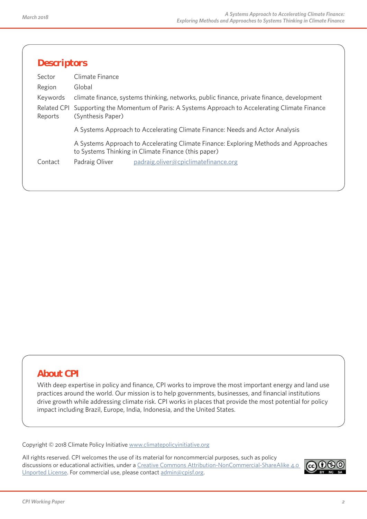| <b>Descriptors</b>            |                                                                                                                                             |
|-------------------------------|---------------------------------------------------------------------------------------------------------------------------------------------|
| Sector                        | Climate Finance                                                                                                                             |
| Region                        | Global                                                                                                                                      |
| Keywords                      | climate finance, systems thinking, networks, public finance, private finance, development                                                   |
| <b>Related CPI</b><br>Reports | Supporting the Momentum of Paris: A Systems Approach to Accelerating Climate Finance<br>(Synthesis Paper)                                   |
|                               | A Systems Approach to Accelerating Climate Finance: Needs and Actor Analysis                                                                |
|                               | A Systems Approach to Accelerating Climate Finance: Exploring Methods and Approaches<br>to Systems Thinking in Climate Finance (this paper) |
| Contact                       | Padraig Oliver<br>padraig.oliver@cpiclimatefinance.org                                                                                      |
|                               |                                                                                                                                             |
|                               |                                                                                                                                             |

# **About CPI**

With deep expertise in policy and finance, CPI works to improve the most important energy and land use practices around the world. Our mission is to help governments, businesses, and financial institutions drive growth while addressing climate risk. CPI works in places that provide the most potential for policy impact including Brazil, Europe, India, Indonesia, and the United States.

Copyright © 2018 Climate Policy Initiative www.climatepolicyinitiative.org

All rights reserved. CPI welcomes the use of its material for noncommercial purposes, such as policy discussions or educational activities, under a Creative Commons Attribution-NonCommercial-ShareAlike 4.0 Unported License. For commercial use, please contact admin@cpisf.org.

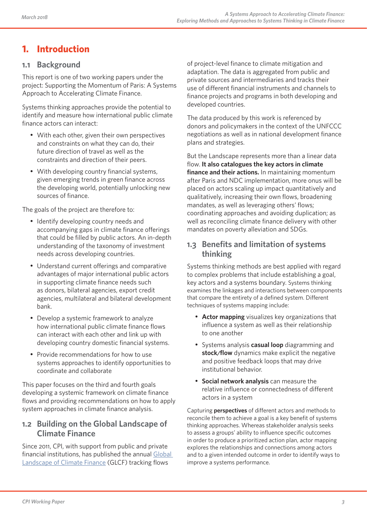# **1. Introduction**

## **1.1 Background**

This report is one of two working papers under the project: Supporting the Momentum of Paris: A Systems Approach to Accelerating Climate Finance.

Systems thinking approaches provide the potential to identify and measure how international public climate finance actors can interact:

- With each other, given their own perspectives and constraints on what they can do, their future direction of travel as well as the constraints and direction of their peers.
- With developing country financial systems, given emerging trends in green finance across the developing world, potentially unlocking new sources of finance.

The goals of the project are therefore to:

- Identify developing country needs and accompanying gaps in climate finance offerings that could be filled by public actors. An in-depth understanding of the taxonomy of investment needs across developing countries.
- Understand current offerings and comparative advantages of major international public actors in supporting climate finance needs such as donors, bilateral agencies, export credit agencies, multilateral and bilateral development bank.
- Develop a systemic framework to analyze how international public climate finance flows can interact with each other and link up with developing country domestic financial systems.
- Provide recommendations for how to use systems approaches to identify opportunities to coordinate and collaborate

This paper focuses on the third and fourth goals developing a systemic framework on climate finance flows and providing recommendations on how to apply system approaches in climate finance analysis.

## **1.2 Building on the Global Landscape of Climate Finance**

Since 2011, CPI, with support from public and private financial institutions, has published the annual Global Landscape of Climate Finance (GLCF) tracking flows

of project-level finance to climate mitigation and adaptation. The data is aggregated from public and private sources and intermediaries and tracks their use of different financial instruments and channels to finance projects and programs in both developing and developed countries.

The data produced by this work is referenced by donors and policymakers in the context of the UNFCCC negotiations as well as in national development finance plans and strategies.

But the Landscape represents more than a linear data flow. **It also catalogues the key actors in climate finance and their actions.** In maintaining momentum after Paris and NDC implementation, more onus will be placed on actors scaling up impact quantitatively and qualitatively, increasing their own flows, broadening mandates, as well as leveraging others' flows; coordinating approaches and avoiding duplication; as well as reconciling climate finance delivery with other mandates on poverty alleviation and SDGs.

## **1.3 Benefits and limitation of systems thinking**

Systems thinking methods are best applied with regard to complex problems that include establishing a goal, key actors and a systems boundary. Systems thinking examines the linkages and interactions between components that compare the entirety of a defined system. Different techniques of systems mapping include:

- Actor mapping visualizes key organizations that influence a system as well as their relationship to one another
- Systems analysis **casual loop** diagramming and **stock/flow** dynamics make explicit the negative and positive feedback loops that may drive institutional behavior.
- **Social network analysis** can measure the relative influence or connectedness of different actors in a system

Capturing **perspectives** of different actors and methods to reconcile them to achieve a goal is a key benefit of systems thinking approaches. Whereas stakeholder analysis seeks to assess a groups' ability to influence specific outcomes in order to produce a prioritized action plan, actor mapping explores the relationships and connections among actors and to a given intended outcome in order to identify ways to improve a systems performance.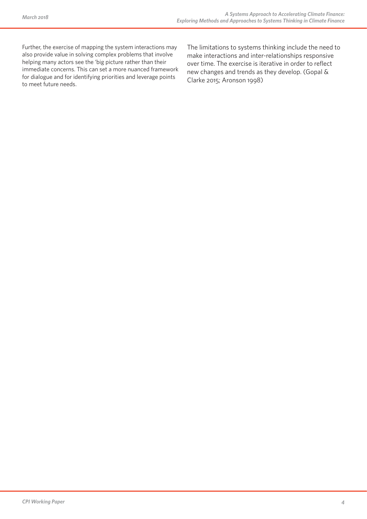Further, the exercise of mapping the system interactions may also provide value in solving complex problems that involve helping many actors see the 'big picture rather than their immediate concerns. This can set a more nuanced framework for dialogue and for identifying priorities and leverage points to meet future needs.

The limitations to systems thinking include the need to make interactions and inter-relationships responsive over time. The exercise is iterative in order to reflect new changes and trends as they develop. (Gopal & Clarke 2015; Aronson 1998)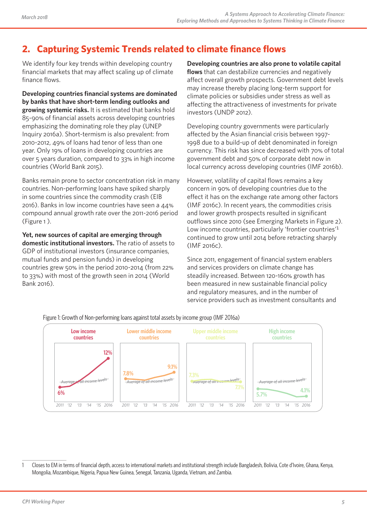# **2. Capturing Systemic Trends related to climate finance flows**

We identify four key trends within developing country financial markets that may affect scaling up of climate finance flows.

**Developing countries financial systems are dominated by banks that have short-term lending outlooks and growing systemic risks.** It is estimated that banks hold 85-90% of financial assets across developing countries emphasizing the dominating role they play (UNEP Inquiry 2016a). Short-termism is also prevalent: from 2010-2012, 49% of loans had tenor of less than one year. Only 19% of loans in developing countries are over 5 years duration, compared to 33% in high income countries (World Bank 2015).

Banks remain prone to sector concentration risk in many countries. Non-performing loans have spiked sharply in some countries since the commodity crash (EIB 2016). Banks in low income countries have seen a 44% compound annual growth rate over the 2011-2016 period (Figure 1 ).

**Yet, new sources of capital are emerging through domestic institutional investors.** The ratio of assets to GDP of institutional investors (insurance companies, mutual funds and pension funds) in developing countries grew 50% in the period 2010-2014 (from 22% to 33%) with most of the growth seen in 2014 (World Bank 2016).

**Developing countries are also prone to volatile capital flows** that can destabilize currencies and negatively affect overall growth prospects. Government debt levels may increase thereby placing long-term support for climate policies or subsidies under stress as well as affecting the attractiveness of investments for private investors (UNDP 2012).

Developing country governments were particularly affected by the Asian financial crisis between 1997- 1998 due to a build-up of debt denominated in foreign currency. This risk has since decreased with 70% of total government debt and 50% of corporate debt now in local currency across developing countries (IMF 2016b).

However, volatility of capital flows remains a key concern in 90% of developing countries due to the effect it has on the exchange rate among other factors (IMF 2016c). In recent years, the commodities crisis and lower growth prospects resulted in significant outflows since 2010 (see Emerging Markets in Figure 2). Low income countries, particularly 'frontier countries'<sup>1</sup> continued to grow until 2014 before retracting sharply (IMF 2016c).

Since 2011, engagement of financial system enablers and services providers on climate change has steadily increased. Between 120-160% growth has been measured in new sustainable financial policy and regulatory measures, and in the number of service providers such as investment consultants and



Figure 1: Growth of Non-performing loans against total assets by income group (IMF 2016a)

<sup>1</sup> Closes to EM in terms of financial depth, access to international markets and institutional strength include Bangladesh, Bolivia, Cote d'Ivoire, Ghana, Kenya, Mongolia, Mozambique, Nigeria, Papua New Guinea, Senegal, Tanzania, Uganda, Vietnam, and Zambia.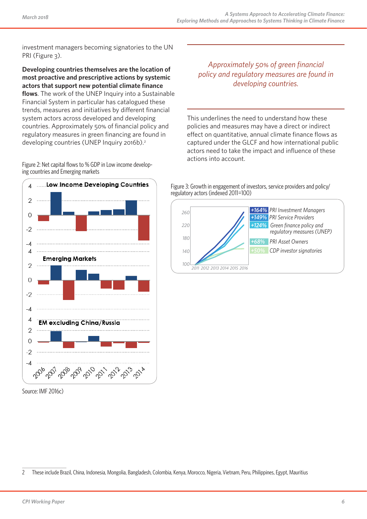investment managers becoming signatories to the UN PRI (Figure 3).

**Developing countries themselves are the location of most proactive and prescriptive actions by systemic actors that support new potential climate finance flows**. The work of the UNEP Inquiry into a Sustainable Financial System in particular has catalogued these trends, measures and initiatives by different financial system actors across developed and developing countries. Approximately 50% of financial policy and regulatory measures in green financing are found in developing countries (UNEP Inquiry 2016b).<sup>2</sup>

Figure 2: Net capital flows to % GDP in Low income develop- ing countries and Emerging markets



Source: IMF 2016c)

*Approximately 50% of green financial policy and regulatory measures are found in developing countries.*

This underlines the need to understand how these policies and measures may have a direct or indirect effect on quantitative, annual climate finance flows as captured under the GLCF and how international public actors need to take the impact and influence of these actions into account.

Figure 3: Growth in engagement of investors, service providers and policy/ regulatory actors (indexed 2011=100)



<sup>2</sup> These include Brazil, China, Indonesia, Mongolia, Bangladesh, Colombia, Kenya, Morocco, Nigeria, Vietnam, Peru, Philippines, Egypt, Mauritius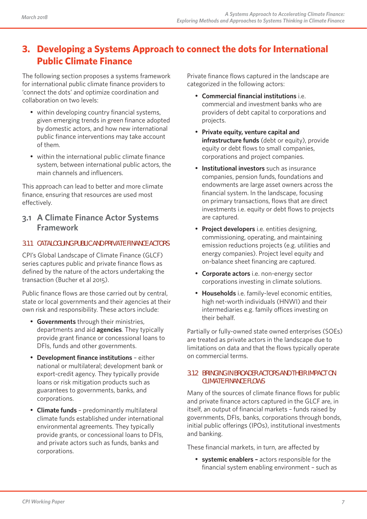# **3. Developing a Systems Approach to connect the dots for International Public Climate Finance**

The following section proposes a systems framework for international public climate finance providers to 'connect the dots' and optimize coordination and collaboration on two levels:

- within developing country financial systems, given emerging trends in green finance adopted by domestic actors, and how new international public finance interventions may take account of them.
- within the international public climate finance system, between international public actors, the main channels and influencers.

This approach can lead to better and more climate finance, ensuring that resources are used most effectively.

## **3.1 A Climate Finance Actor Systems Framework**

### **3.1.1 CATALOGUING PUBLIC AND PRIVATE FINANCE ACTORS**

CPI's Global Landscape of Climate Finance (GLCF) series captures public and private finance flows as defined by the nature of the actors undertaking the transaction (Bucher et al 2015).

Public finance flows are those carried out by central, state or local governments and their agencies at their own risk and responsibility. These actors include:

- **Governments** through their ministries, departments and aid **agencies**. They typically provide grant finance or concessional loans to DFIs, funds and other governments.
- **Development finance institutions** either national or multilateral; development bank or export-credit agency. They typically provide loans or risk mitigation products such as guarantees to governments, banks, and corporations.
- **Climate funds** predominantly multilateral climate funds established under international environmental agreements. They typically provide grants, or concessional loans to DFIs, and private actors such as funds, banks and corporations.

Private finance flows captured in the landscape are categorized in the following actors:

- **Commercial financial institutions** i.e. commercial and investment banks who are providers of debt capital to corporations and projects.
- **Private equity, venture capital and infrastructure funds** (debt or equity), provide equity or debt flows to small companies, corporations and project companies.
- **Institutional investors** such as insurance companies, pension funds, foundations and endowments are large asset owners across the financial system. In the landscape, focusing on primary transactions, flows that are direct investments i.e. equity or debt flows to projects are captured.
- **Project developers** i.e. entities designing, commissioning, operating, and maintaining emission reductions projects (e.g. utilities and energy companies). Project level equity and on-balance sheet financing are captured.
- **Corporate actors** i.e. non-energy sector corporations investing in climate solutions.
- **Households** i.e. family-level economic entities, high net-worth individuals (HNWI) and their intermediaries e.g. family offices investing on their behalf.

Partially or fully-owned state owned enterprises (SOEs) are treated as private actors in the landscape due to limitations on data and that the flows typically operate on commercial terms.

#### **3.1.2 BRINGING IN BROADER ACTORS AND THEIR IMPACT ON CLIMATE FINANCE FLOWS**

Many of the sources of climate finance flows for public and private finance actors captured in the GLCF are, in itself, an output of financial markets – funds raised by governments, DFIs, banks, corporations through bonds, initial public offerings (IPOs), institutional investments and banking.

These financial markets, in turn, are affected by

• **systemic enablers –** actors responsible for the financial system enabling environment – such as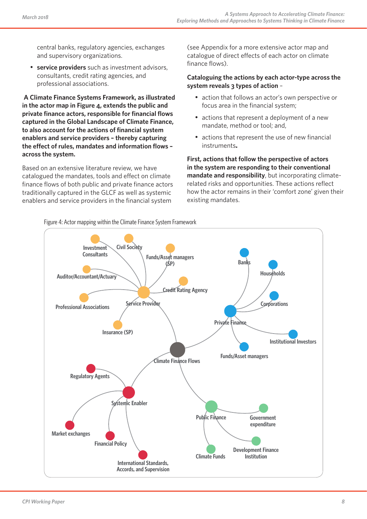central banks, regulatory agencies, exchanges and supervisory organizations.

service providers such as investment advisors, consultants, credit rating agencies, and professional associations.

**A Climate Finance Systems Framework, as illustrated in the actor map in Figure 4, extends the public and private finance actors, responsible for financial flows captured in the Global Landscape of Climate Finance, to also account for the actions of financial system enablers and service providers – thereby capturing the effect of rules, mandates and information flows – across the system.**

Based on an extensive literature review, we have catalogued the mandates, tools and effect on climate finance flows of both public and private finance actors traditionally captured in the GLCF as well as systemic enablers and service providers in the financial system

(see Appendix for a more extensive actor map and catalogue of direct effects of each actor on climate finance flows).

#### **Cataloguing the actions by each actor-type across the system reveals 3 types of action** –

- action that follows an actor's own perspective or focus area in the financial system;
- actions that represent a deployment of a new mandate, method or tool; and,
- actions that represent the use of new financial instruments**.**

**First, actions that follow the perspective of actors in the system are responding to their conventional mandate and responsibility**, but incorporating climaterelated risks and opportunities. These actions reflect how the actor remains in their 'comfort zone' given their existing mandates.



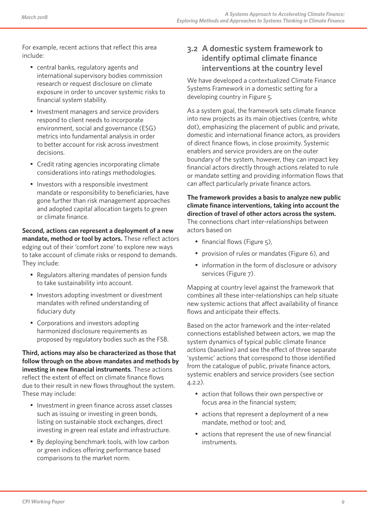For example, recent actions that reflect this area include:

- central banks, regulatory agents and international supervisory bodies commission research or request disclosure on climate exposure in order to uncover systemic risks to financial system stability.
- Investment managers and service providers respond to client needs to incorporate environment, social and governance (ESG) metrics into fundamental analysis in order to better account for risk across investment decisions.
- Credit rating agencies incorporating climate considerations into ratings methodologies.
- Investors with a responsible investment mandate or responsibility to beneficiaries, have gone further than risk management approaches and adopted capital allocation targets to green or climate finance.

**Second, actions can represent a deployment of a new mandate, method or tool by actors.** These reflect actors edging out of their 'comfort zone' to explore *new* ways to take account of climate risks or respond to demands. They include:

- Regulators altering mandates of pension funds to take sustainability into account.
- Investors adopting investment or divestment mandates with refined understanding of fiduciary duty
- Corporations and investors adopting harmonized disclosure requirements as proposed by regulatory bodies such as the FSB.

**Third, actions may also be characterized as those that follow through on the above mandates and methods by investing in new financial instruments**. These actions reflect the extent of effect on climate finance flows due to their result in new flows throughout the system. These may include:

- Investment in green finance across asset classes such as issuing or investing in green bonds, listing on sustainable stock exchanges, direct investing in green real estate and infrastructure.
- By deploying benchmark tools, with low carbon or green indices offering performance based comparisons to the market norm.

## **3.2 A domestic system framework to identify optimal climate finance interventions at the country level**

We have developed a contextualized Climate Finance Systems Framework in a domestic setting for a developing country in Figure 5.

As a system goal, the framework sets climate finance into new projects as its main objectives (centre, white dot), emphasizing the placement of public and private, domestic and international finance actors, as providers of direct finance flows, in close proximity. Systemic enablers and service providers are on the outer boundary of the system, however, they can impact key financial actors directly through actions related to rule or mandate setting and providing information flows that can affect particularly private finance actors.

**The framework provides a basis to analyze new public climate finance interventions, taking into account the direction of travel of other actors across the system.**  The connections chart inter-relationships between actors based on

- financial flows (Figure 5),
- provision of rules or mandates (Figure 6), and
- information in the form of disclosure or advisory services (Figure 7).

Mapping at country level against the framework that combines all these inter-relationships can help situate new systemic actions that affect availability of finance flows and anticipate their effects.

Based on the actor framework and the inter-related connections established between actors, we map the system dynamics of typical public climate finance *actions* (baseline) and see the effect of three separate 'systemic' actions that correspond to those identified from the catalogue of public, private finance actors, systemic enablers and service providers (see section 4.2.2).

- action that follows their own perspective or focus area in the financial system;
- actions that represent a deployment of a new mandate, method or tool; and,
- actions that represent the use of new financial instruments.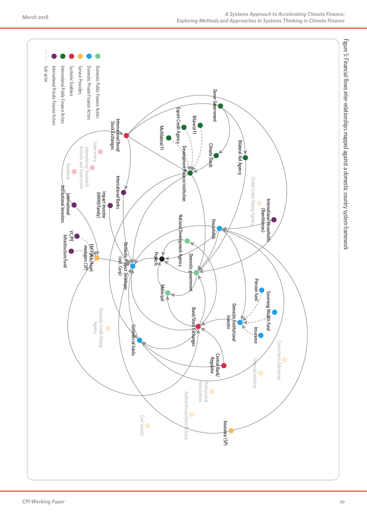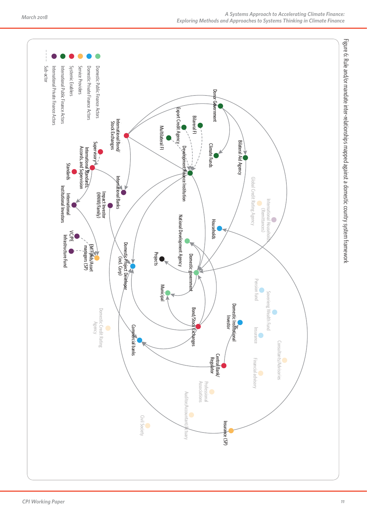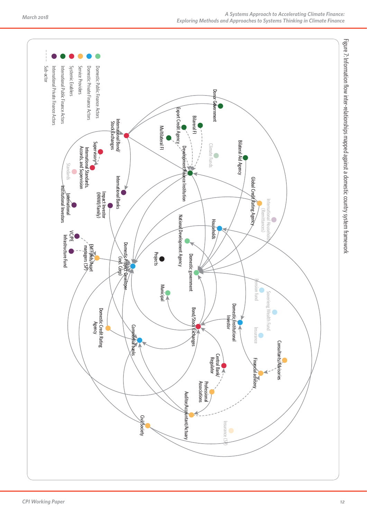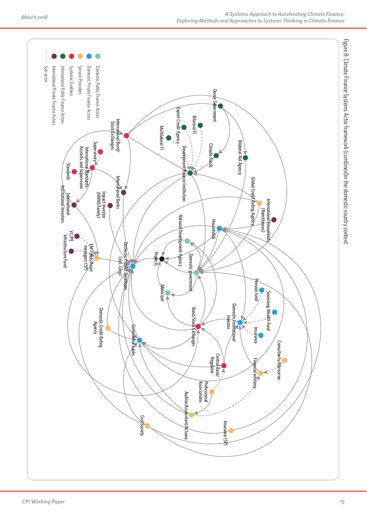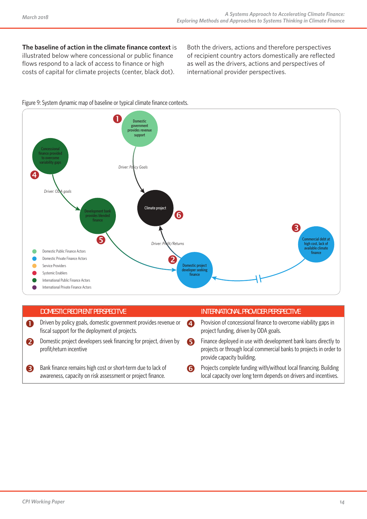**The baseline of action in the climate finance context** is illustrated below where concessional or public finance flows respond to a lack of access to finance or high costs of capital for climate projects (center, black dot).

Both the drivers, actions and therefore perspectives of recipient country actors domestically are reflected as well as the drivers, actions and perspectives of international provider perspectives.

#### Figure 9: System dynamic map of baseline or typical climate finance contexts.



| <b>DOMESTIC RECIPIENT PERSPECITVE</b>                                                                                     |   | INTERNATIONAL PROVIDER PERSPECTIVE                                                                                                                                  |
|---------------------------------------------------------------------------------------------------------------------------|---|---------------------------------------------------------------------------------------------------------------------------------------------------------------------|
| Driven by policy goals, domestic government provides revenue or<br>fiscal support for the deployment of projects.         | A | Provision of concessional finance to overcome viability gaps in<br>project funding, driven by ODA goals.                                                            |
| Domestic project developers seek financing for project, driven by<br>profit/return incentive                              | 6 | Finance deployed in use with development bank loans directly to<br>projects or through local commercial banks to projects in order to<br>provide capacity building. |
| Bank finance remains high cost or short-term due to lack of<br>awareness, capacity on risk assessment or project finance. | 6 | Projects complete funding with/without local financing. Building<br>local capacity over long term depends on drivers and incentives.                                |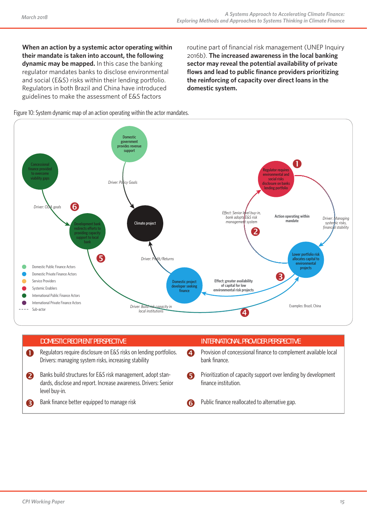**When an action by a systemic actor operating within their mandate is taken into account, the following dynamic may be mapped.** In this case the banking regulator mandates banks to disclose environmental and social (E&S) risks within their lending portfolio. Regulators in both Brazil and China have introduced guidelines to make the assessment of E&S factors

routine part of financial risk management (UNEP Inquiry 2016b). **The increased awareness in the local banking sector may reveal the potential availability of private flows and lead to public finance providers prioritizing the reinforcing of capacity over direct loans in the domestic system.** 





| <b>DOMESTIC RECIPIENT PERSPECTIVE</b>                                                                                                           |   | INTERNATIONAL PROVIDER PERSPECTIVE                                                     |
|-------------------------------------------------------------------------------------------------------------------------------------------------|---|----------------------------------------------------------------------------------------|
| Regulators require disclosure on E&S risks on lending portfolios.<br>Drivers: managing system risks, increasing stability                       | A | Provision of concessional finance to complement available local<br>bank finance.       |
| Banks build structures for E&S risk management, adopt stan-<br>dards, disclose and report. Increase awareness. Drivers: Senior<br>level buy-in. | 5 | Prioritization of capacity support over lending by development<br>finance institution. |
| Bank finance better equipped to manage risk                                                                                                     |   | Public finance reallocated to alternative gap.                                         |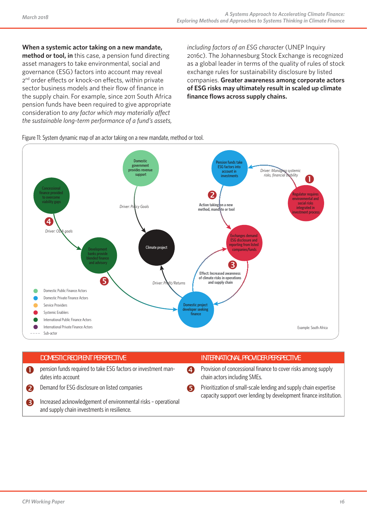**When a systemic actor taking on a new mandate,** 

**method or tool, in** this case, a pension fund directing asset managers to take environmental, social and governance (ESG) factors into account may reveal 2<sup>nd</sup> order effects or knock-on effects, within private sector business models and their flow of finance in the supply chain. For example, since 2011 South Africa pension funds have been required to give appropriate consideration to *any factor which may materially affect the sustainable long-term performance of a fund's assets,*  *including factors of an ESG character* (UNEP Inquiry 2016c). The Johannesburg Stock Exchange is recognized as a global leader in terms of the quality of rules of stock exchange rules for sustainability disclosure by listed companies. **Greater awareness among corporate actors of ESG risks may ultimately result in scaled up climate finance flows across supply chains.**

Figure 11: System dynamic map of an actor taking on a new mandate, method or tool.



| <b>DOMESTIC RECIPIENT PERSPECTIVE</b>                                                                         |                  | <b>INTERNATIONAL PROVIDER PERSPECTIVE</b>                                                                                             |
|---------------------------------------------------------------------------------------------------------------|------------------|---------------------------------------------------------------------------------------------------------------------------------------|
| pension funds required to take ESG factors or investment man-<br>dates into account                           | $\boldsymbol{A}$ | Provision of concessional finance to cover risks among supply<br>chain actors including SMEs.                                         |
| Demand for ESG disclosure on listed companies                                                                 |                  | Prioritization of small-scale lending and supply chain expertise<br>capacity support over lending by development finance institution. |
| Increased acknowledgement of environmental risks - operational<br>and supply chain investments in resilience. |                  |                                                                                                                                       |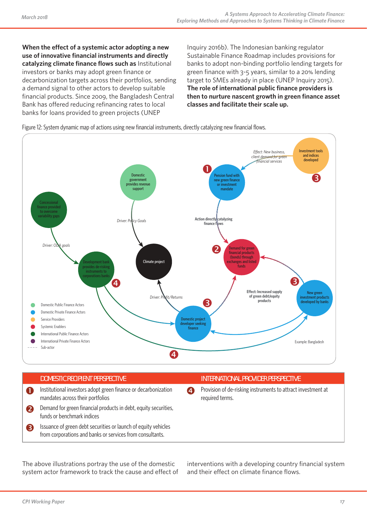**When the effect of a systemic actor adopting a new use of innovative financial instruments and directly catalyzing climate finance flows such as** Institutional investors or banks may adopt green finance or decarbonization targets across their portfolios, sending a demand signal to other actors to develop suitable financial products. Since 2009, the Bangladesh Central Bank has offered reducing refinancing rates to local banks for loans provided to green projects (UNEP

Inquiry 2016b). The Indonesian banking regulator Sustainable Finance Roadmap includes provisions for banks to adopt non-binding portfolio lending targets for green finance with 3-5 years, similar to a 20% lending target to SMEs already in place (UNEP Inquiry 2015). **The role of international public finance providers is then to nurture nascent growth in green finance asset classes and facilitate their scale up.**

Figure 12: System dynamic map of actions using new financial instruments, directly catalyzing new financial flows.



- **Institutional investors adopt green finance or decarbonization** mandates across their portfolios
- Demand for green financial products in debt, equity securities, funds or benchmark indices
- Issuance of green debt securities or launch of equity vehicles from corporations and banks or services from consultants.

#### **DOMESTIC RECIPIENT PERSPECTIVE INTERNATIONAL PROVIDER PERSPECTIVE**

**2** Provision of de-risking instruments to attract investment at required terms.

The above illustrations portray the use of the domestic system actor framework to track the cause and effect of interventions with a developing country financial system and their effect on climate finance flows.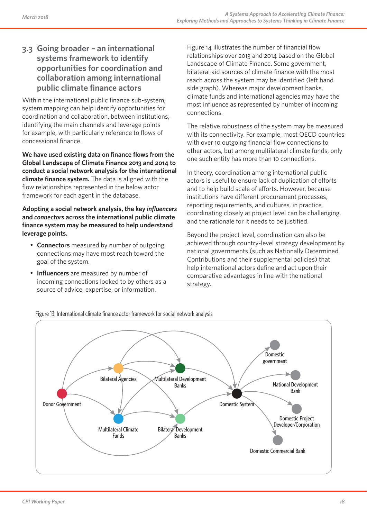## **3.3 Going broader – an international systems framework to identify opportunities for coordination and collaboration among international public climate finance actors**

Within the international public finance sub-system, system mapping can help identify opportunities for coordination and collaboration, between institutions, identifying the main channels and leverage points for example, with particularly reference to flows of concessional finance.

**We have used existing data on finance flows from the Global Landscape of Climate Finance 2013 and 2014 to conduct a social network analysis for the international climate finance system.** The data is aligned with the flow relationships represented in the below actor framework for each agent in the database.

**Adopting a social network analysis, the key** *influencers* **and** *connectors* **across the international public climate finance system may be measured to help understand leverage points.** 

- **Connectors** measured by number of outgoing connections may have most reach toward the goal of the system.
- **Influencers** are measured by number of incoming connections looked to by others as a source of advice, expertise, or information.

Figure 14 illustrates the number of financial flow relationships over 2013 and 2014 based on the Global Landscape of Climate Finance. Some government, bilateral aid sources of climate finance with the most reach across the system may be identified (left hand side graph). Whereas major development banks, climate funds and international agencies may have the most influence as represented by number of incoming connections.

The relative robustness of the system may be measured with its connectivity. For example, most OECD countries with over 10 outgoing financial flow connections to other actors, but among multilateral climate funds, only one such entity has more than 10 connections.

In theory, coordination among international public actors is useful to ensure lack of duplication of efforts and to help build scale of efforts. However, because institutions have different procurement processes, reporting requirements, and cultures, in practice coordinating closely at project level can be challenging, and the rationale for it needs to be justified.

Beyond the project level, coordination can also be achieved through country-level strategy development by national governments (such as Nationally Determined Contributions and their supplemental policies) that help international actors define and act upon their comparative advantages in line with the national strategy.



Figure 13: International climate finance actor framework for social network analysis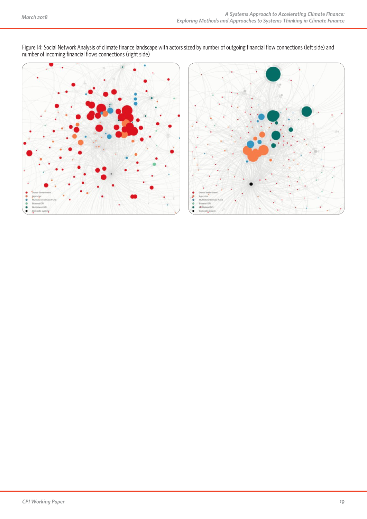

Figure 14: Social Network Analysis of climate finance landscape with actors sized by number of outgoing financial flow connections (left side) and number of incoming financial flows connections (right side)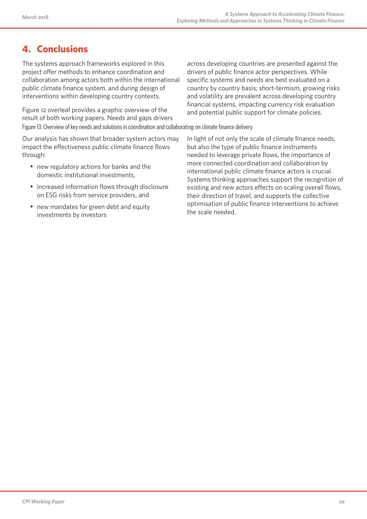# **4. Conclusions**

The systems approach frameworks explored in this project offer methods to enhance coordination and collaboration among actors both within the international public climate finance system, and during design of interventions within developing country contexts.

Figure 12 overleaf provides a graphic overview of the result of both working papers. Needs and gaps drivers Figure 13: Overview of key needs and solutions in coordination and collaborating on climate finance delivery

Our analysis has shown that broader system actors may impact the effectiveness public climate finance flows through:

- new regulatory actions for banks and the domestic institutional investments,
- increased information flows through disclosure on ESG risks from service providers, and
- new mandates for green debt and equity investments by investors

across developing countries are presented against the drivers of public finance actor perspectives. While specific systems and needs are best evaluated on a country by country basis; short-termism, growing risks and volatility are prevalent across developing country financial systems, impacting currency risk evaluation and potential public support for climate policies.

In light of not only the scale of climate finance needs, but also the type of public finance instruments needed to leverage private flows, the importance of more connected coordination and collaboration by international public climate finance actors is crucial. Systems thinking approaches support the recognition of existing and new actors effects on scaling overall flows, their direction of travel, and supports the collective optimisation of public finance interventions to achieve the scale needed.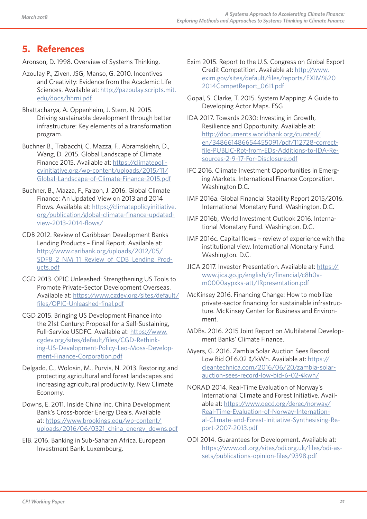# **5. References**

Aronson, D. 1998. Overview of Systems Thinking.

- Azoulay P., Ziven, JSG, Manso, G. 2010. Incentives and Creativity: Evidence from the Academic Life Sciences. Available at: http://pazoulay.scripts.mit. edu/docs/hhmi.pdf
- Bhattacharya, A. Oppenheim, J. Stern, N. 2015. Driving sustainable development through better infrastructure: Key elements of a transformation program.
- Buchner B., Trabacchi, C. Mazza, F., Abramskiehn, D., Wang, D. 2015. Global Landscape of Climate Finance 2015. Available at: https://climatepolicyinitiative.org/wp-content/uploads/2015/11/ Global-Landscape-of-Climate-Finance-2015.pdf
- Buchner, B., Mazza, F., Falzon, J. 2016. Global Climate Finance: An Updated View on 2013 and 2014 Flows. Available at: https://climatepolicyinitiative. org/publication/global-climate-finance-updatedview-2013-2014-flows/
- CDB 2012. Review of Caribbean Development Banks Lending Products – Final Report. Available at: http://www.caribank.org/uploads/2012/05/ SDF8\_2\_NM\_11\_Review\_of\_CDB\_Lending\_Products.pdf
- CGD 2013. OPIC Unleashed: Strengthening US Tools to Promote Private-Sector Development Overseas. Available at: https://www.cgdev.org/sites/default/ files/OPIC-Unleashed-final.pdf
- CGD 2015. Bringing US Development Finance into the 21st Century: Proposal for a Self-Sustaining, Full-Service USDFC. Available at: https://www. cgdev.org/sites/default/files/CGD-Rethinking-US-Development-Policy-Leo-Moss-Development-Finance-Corporation.pdf
- Delgado, C., Wolosin, M., Purvis, N. 2013. Restoring and protecting agricultural and forest landscapes and increasing agricultural productivity. New Climate Economy.
- Downs, E. 2011. Inside China Inc. China Development Bank's Cross-border Energy Deals. Available at: https://www.brookings.edu/wp-content/ uploads/2016/06/0321\_china\_energy\_downs.pdf
- EIB. 2016. Banking in Sub-Saharan Africa. European Investment Bank. Luxembourg.
- Exim 2015. Report to the U.S. Congress on Global Export Credit Competition. Available at: http://www. exim.gov/sites/default/files/reports/EXIM%20 2014CompetReport\_0611.pdf
- Gopal, S. Clarke, T. 2015. System Mapping: A Guide to Developing Actor Maps. FSG
- IDA 2017. Towards 2030: Investing in Growth, Resilience and Opportunity. Available at: http://documents.worldbank.org/curated/ en/348661486654455091/pdf/112728-correctfile-PUBLIC-Rpt-from-EDs-Additions-to-IDA-Resources-2-9-17-For-Disclosure.pdf
- IFC 2016. Climate Investment Opportunities in Emerging Markets. International Finance Corporation. Washington D.C.
- IMF 2016a. Global Financial Stability Report 2015/2016. International Monetary Fund. Washington. D.C.
- IMF 2016b, World Investment Outlook 2016. International Monetary Fund. Washington. D.C.
- IMF 2016c. Capital flows review of experience with the institutional view. International Monetary Fund. Washington. D.C.
- JICA 2017. Investor Presentation. Available at: https:// www.jica.go.jp/english/ir/financial/c8h0vm0000aypxks-att/IRpresentation.pdf
- McKinsey 2016. Financing Change: How to mobilize private-sector financing for sustainable infrastructure. McKinsey Center for Business and Environment.
- MDBs. 2016. 2015 Joint Report on Multilateral Development Banks' Climate Finance.
- Myers, G. 2016. Zambia Solar Auction Sees Record Low Bid Of 6.02 ¢/kWh. Available at: https:// cleantechnica.com/2016/06/20/zambia-solarauction-sees-record-low-bid-6-02-¢kwh/
- NORAD 2014. Real-Time Evaluation of Norway's International Climate and Forest Initiative. Available at: https://www.oecd.org/derec/norway/ Real-Time-Evaluation-of-Norway-International-Climate-and-Forest-Initiative-Synthesising-Report-2007-2013.pdf
- ODI 2014. Guarantees for Development. Available at: https://www.odi.org/sites/odi.org.uk/files/odi-assets/publications-opinion-files/9398.pdf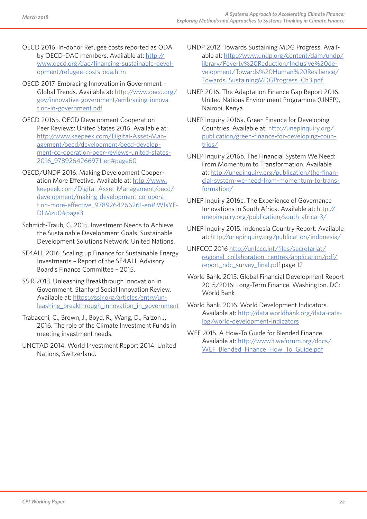- OECD 2016. In-donor Refugee costs reported as ODA by OECD-DAC members. Available at: http:// www.oecd.org/dac/financing-sustainable-development/refugee-costs-oda.htm
- OECD 2017. Embracing Innovation in Government Global Trends. Available at: http://www.oecd.org/ gov/innovative-government/embracing-innovation-in-government.pdf
- OECD 2016b. OECD Development Cooperation Peer Reviews: United States 2016. Available at: http://www.keepeek.com/Digital-Asset-Management/oecd/development/oecd-development-co-operation-peer-reviews-united-states-2016\_9789264266971-en#page60
- OECD/UNDP 2016. Making Development Cooperation More Effective. Available at: http://www. keepeek.com/Digital-Asset-Management/oecd/ development/making-development-co-operation-more-effective\_9789264266261-en#.WIsYF-DLMzu0#page3
- Schmidt-Traub, G. 2015. Investment Needs to Achieve the Sustainable Development Goals. Sustainable Development Solutions Network. United Nations.
- SE4ALL 2016. Scaling up Finance for Sustainable Energy Investments – Report of the SE4ALL Advisory Board's Finance Committee – 2015.
- SSIR 2013. Unleashing Breakthrough Innovation in Government. Stanford Social Innovation Review. Available at: https://ssir.org/articles/entry/unleashing\_breakthrough\_innovation\_in\_government
- Trabacchi, C., Brown, J., Boyd, R., Wang, D., Falzon J. 2016. The role of the Climate Investment Funds in meeting investment needs.
- UNCTAD 2014. World Investment Report 2014. United Nations, Switzerland.
- UNDP 2012. Towards Sustaining MDG Progress. Available at: http://www.undp.org/content/dam/undp/ library/Poverty%20Reduction/Inclusive%20development/Towards%20Human%20Resilience/ Towards\_SustainingMDGProgress\_Ch3.pdf
- UNEP 2016. The Adaptation Finance Gap Report 2016. United Nations Environment Programme (UNEP), Nairobi, Kenya
- UNEP Inquiry 2016a. Green Finance for Developing Countries. Available at: http://unepinquiry.org/ publication/green-finance-for-developing-countries/
- UNEP Inquiry 2016b. The Financial System We Need: From Momentum to Transformation. Available at: http://unepinquiry.org/publication/the-financial-system-we-need-from-momentum-to-transformation/
- UNEP Inquiry 2016c. The Experience of Governance Innovations in South Africa. Available at: http:// unepinquiry.org/publication/south-africa-3/
- UNEP Inquiry 2015. Indonesia Country Report. Available at: http://unepinquiry.org/publication/indonesia/
- UNFCCC 2016 http://unfccc.int/files/secretariat/ regional\_collaboration\_centres/application/pdf/ report\_ndc\_survey\_final.pdf page 12
- World Bank. 2015. Global Financial Development Report 2015/2016: Long-Term Finance. Washington, DC: World Bank
- World Bank. 2016. World Development Indicators. Available at: http://data.worldbank.org/data-catalog/world-development-indicators
- WEF 2015. A How-To Guide for Blended Finance. Available at: http://www3.weforum.org/docs/ WEF Blended Finance How To Guide.pdf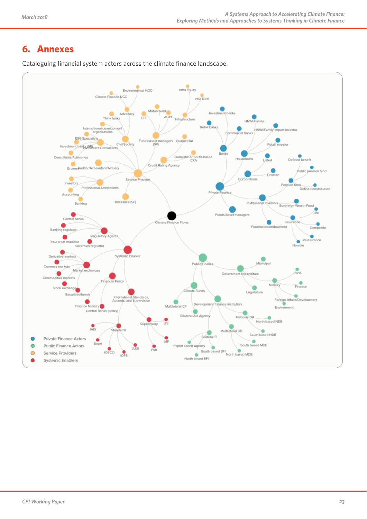# **6. Annexes**



Cataloguing financial system actors across the climate finance landscape.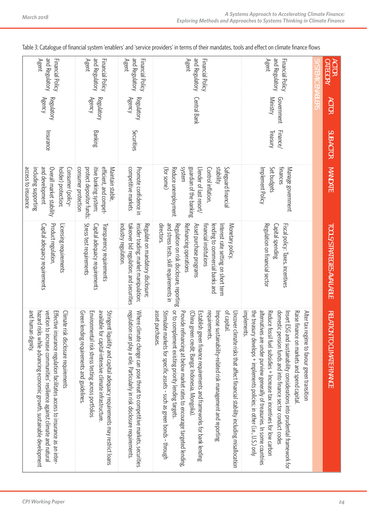| and Regulatory<br>Agent                                                                                                                                                | Financial Policy                                                                                                    | and Regulatory<br>Financial Policy<br>Agent                                                                                                                                                                                                | and Regulatory<br>Financial Policy<br>Agent                                                                                                         | and Regulatory<br>Agent<br>Financial Policy                                                                                                                                                                                                                                                                                                                                                                                                                                                                                             | and Regulatory<br>Financial Policy<br>Agent                                                                                                                                                                                                                                                                                                                                                                                                                                              | <b>SYS LEMIC ENABLERS</b> | <b>CATEGORY</b><br><b>ACTOR</b>               |
|------------------------------------------------------------------------------------------------------------------------------------------------------------------------|---------------------------------------------------------------------------------------------------------------------|--------------------------------------------------------------------------------------------------------------------------------------------------------------------------------------------------------------------------------------------|-----------------------------------------------------------------------------------------------------------------------------------------------------|-----------------------------------------------------------------------------------------------------------------------------------------------------------------------------------------------------------------------------------------------------------------------------------------------------------------------------------------------------------------------------------------------------------------------------------------------------------------------------------------------------------------------------------------|------------------------------------------------------------------------------------------------------------------------------------------------------------------------------------------------------------------------------------------------------------------------------------------------------------------------------------------------------------------------------------------------------------------------------------------------------------------------------------------|---------------------------|-----------------------------------------------|
| <b>Agency</b><br><b>Regulatory</b>                                                                                                                                     |                                                                                                                     | <b>Agency</b><br>Regulatory                                                                                                                                                                                                                | <b>Regulatory</b><br><b>Agency</b>                                                                                                                  | Central Bank                                                                                                                                                                                                                                                                                                                                                                                                                                                                                                                            | <b>Ministry</b><br>Government                                                                                                                                                                                                                                                                                                                                                                                                                                                            |                           | <b>ACTOR</b>                                  |
| Insurance                                                                                                                                                              |                                                                                                                     | Banking                                                                                                                                                                                                                                    | Securities                                                                                                                                          |                                                                                                                                                                                                                                                                                                                                                                                                                                                                                                                                         | Finance/<br>Treasury                                                                                                                                                                                                                                                                                                                                                                                                                                                                     |                           | SUB-ACTOR                                     |
| access to insurance<br>and development<br>Overall market stability<br>including supporting                                                                             | Consumer (policy-<br>holder) protection;                                                                            | consumer protection<br>protect depositor funds;<br>efficient, and compet-<br>itive banking system;<br>Maintain stable                                                                                                                      | competitive markets<br>Promote confidence in                                                                                                        | system<br>guardian of the banking<br><b>stability</b><br>(for some)<br>Reduce unemployment<br>Control inflation,<br>Safeguard financial<br>Llender of last resort/                                                                                                                                                                                                                                                                                                                                                                      | Set budgets<br>finances<br>Manage government<br>Implement Policy                                                                                                                                                                                                                                                                                                                                                                                                                         |                           | <b>MANDATE</b>                                |
| Product regulation,<br>Capital adequacy requirements                                                                                                                   | Licensing requirements                                                                                              | Stress test requirements<br>Transparency requirements<br>Capital adequacy requirements                                                                                                                                                     | industry regulation.<br>takeover bid regulation; and securities<br>insider trading; market manipulation;<br>Regulate on mandatory disclosure;       | and stress tests, skill requirements in<br>directors.<br>Regulation on risk disclosure, reporting<br>Refinancing operations<br>Asset purchase programs<br>financial institutions<br>lending to commercial banks and<br>Monetary policy,<br>Interest rate setting on short term                                                                                                                                                                                                                                                          | Regulation on financial sector<br>Fiscal policy: Taxes, incentives<br>Capital spending                                                                                                                                                                                                                                                                                                                                                                                                   |                           | <b>TOOLS/STRATEGIES AVAILABLE</b>             |
| and human dignity.<br>hazard risks while advancing economic growth, sustainable development<br>vention to increase communities' resilience against climate and natural | Effective insurance regulation facilitates access to insurance as an inter-<br>Climate risk disclosure requirements | available<br>Green lending requirements and guidelines<br>Environmental risk stress testing across portfolios<br>Stringent liquidity and capital adequacy requirements may restrict loans<br>for capital-intensive climate infrastructure. | regulation can play a role. Particularly in risk disclosure requirements<br>Where climate change can pose threat to competitive markets, securities | asset purchases<br>or to complement existing priority lending targets<br>of capital.<br>Stimulate markets for specific assets - such as green bonds - through<br>Uncover climate risks that affect financial stability including misallocation<br>Provide refinancing at below market rates to encourage targeted lending,<br>(China green credit; Banga; Indonesia, Mongolia).<br>requirements.<br>Impose sustainability-related risk management and reporting<br>Establish green finance requirements and frameworks for bank lending | alternatives are under purview generally of treasuries. In some countries<br>implements.<br>the treasury develops + implements policies; in other (i.e., U.S.) only<br>domestic pension funds and into finance sector conduct codes<br>Reduce fossil fuel subsidies + Increase tax incentives for low carbon<br>Raise finance on markets and spend capital.<br>Insert ESG and sustainability considerations into prudential framework for<br>Alter tax regime to favour green transition |                           | <b>RELATIO</b><br><b>N TO CLIMATE FINANCE</b> |

Table 3: Catalogue of financial system 'enablers' and 'service providers' in terms of their mandates, tools and effect on climate finance flows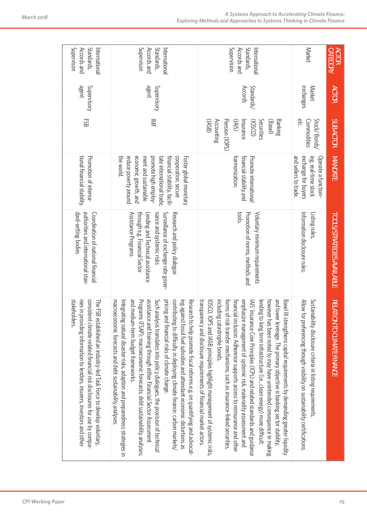| <b>CATEGORY</b><br><b>ACTOR</b>                           | <b>ACTOR</b>          | <b>SUB-ACTOR</b>                                                                                            | <b>MANDATE</b>                                                                                                                                                                                                           | <b>TOOLS/STRATEGIES AVAILABLE</b>                                                                                                                                                            | RELATION TO CLIMATE FINANCE                                                                                                                                                                                                                                                                                                                                                                                                                                                                                                                                                                                                                                                                                                                                                                               |
|-----------------------------------------------------------|-----------------------|-------------------------------------------------------------------------------------------------------------|--------------------------------------------------------------------------------------------------------------------------------------------------------------------------------------------------------------------------|----------------------------------------------------------------------------------------------------------------------------------------------------------------------------------------------|-----------------------------------------------------------------------------------------------------------------------------------------------------------------------------------------------------------------------------------------------------------------------------------------------------------------------------------------------------------------------------------------------------------------------------------------------------------------------------------------------------------------------------------------------------------------------------------------------------------------------------------------------------------------------------------------------------------------------------------------------------------------------------------------------------------|
| Market                                                    | exchanges<br>Market   | etc.<br>Stock/ Bonds/<br>Commodities                                                                        | and sellers to trade.<br>exchange for buyers<br>Operate a function-<br>ing, real-time stock                                                                                                                              | Information disclosure rules.<br>Listing rules                                                                                                                                               | Allow for preferencing through visibility on sustainability certifications.<br>Sustainability disclosure criteria in listing requirements                                                                                                                                                                                                                                                                                                                                                                                                                                                                                                                                                                                                                                                                 |
| Supervision<br>Standards,<br>Accords and<br>International | Accords<br>Standards/ | (1ASB)<br>Pension (IOPS)<br>Banking<br>Accounting<br>(SNI)<br>(02501)<br>Securities<br>(Basel)<br>Insurance | financial stability and<br>Promote internationa<br>harmonization.                                                                                                                                                        | tools.<br>Promotion of norms, methods and<br>Voluntary minimum requirements                                                                                                                  | and lower leverage. The primary objective is banking sector stability,<br>transparency and disclosure requirements of financial market actors.<br>emphasize management of systemic risk, materiality assessment and<br>Basel III strengthens capital requirements by demanding greater liquidity<br>including catastrophe bonds.<br>however has been noted to may have unintended consequence in making<br>forms of<br>lending t<br>IOSCO, IOPS and IASB principles highlight management of systemic risks,<br>AIS insurance Core principles (ICPs) and related standards and guidance<br>financial<br>to long term infrastructure (i.e., clean energy) more difficult.<br>risk transter mechanisms, such as insurance-linked securities<br>inclusion. Adherence supports access to reinsurance and other |
| Supervison<br>Standards,<br>Accords and<br>International  | agent<br>Supervisory  | NΕ                                                                                                          | economic growth, and<br>the world.<br>ment and sustainable<br>promote high employ-<br>tate international trade<br>financial stability, facili-<br>cooperation, secure<br>reduce poverty around<br>Foster global monetary | through e.g. Financial Sector<br>Assistance Programs<br>nance and systemic risks<br>Surveillance of exchange rate gover-<br>Research and policy dialogue<br>Lending and Technical assistance | and medium-term budget trameworks.<br>assistance and training through either Financial Sector Assessment<br>macroeconomic forecasts and debt sustainability analyses<br>contributing to difficulty in deploying climate finance; carbon markets/<br>ing against fossil fuel subsidies and attendant economic distortions as<br>Research to help promote fiscal reforms e.g. on quantifying and advocat-<br>Programs (FSAP); macroeconomic forecasts; debt sustainability analyses;<br>pricing and financial risks of climate change.<br>Such analysis translates into policy dialogues, the provision of technical<br>Integrating natural disaster risks, adaption and preparedness strategies in                                                                                                         |
| Supervison<br>Standards,<br>Accords and<br>International  | agent<br>Supervisory  | 53                                                                                                          | tional financial stability<br>Promotion of interna-                                                                                                                                                                      | dard-setting bodies<br>authorities and international stan-<br>Coordination of national financial                                                                                             | stakeholders<br>consistent climate-related financial risk disclosures for use by compa-<br>nies in providing information to lenders, insurers, investors and other<br>The FSB established an industry-led Task Force to develop voluntary,                                                                                                                                                                                                                                                                                                                                                                                                                                                                                                                                                                |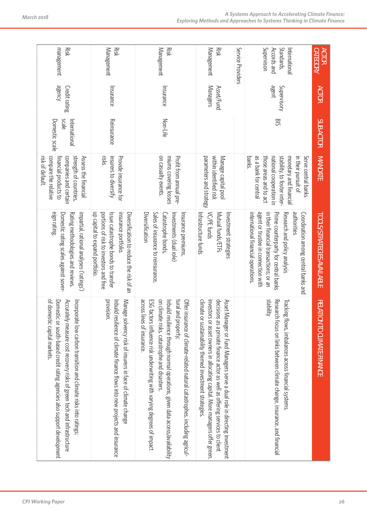| management<br>Risk                                                                                                                                                                                                                                        | Management<br>Risk                                                                                                                                                                 | Management<br>Risk                                                                                                                                                                                                                                                                                                                          | Management<br>Risk                                                                                                                                                                                                                                                                                  | Service Providers | Supervison<br>Standards,<br>Accords and<br>International                                                                                                                                                                                           | <b><i>CATEGORY</i></b><br><b>ACTOR</b>        |
|-----------------------------------------------------------------------------------------------------------------------------------------------------------------------------------------------------------------------------------------------------------|------------------------------------------------------------------------------------------------------------------------------------------------------------------------------------|---------------------------------------------------------------------------------------------------------------------------------------------------------------------------------------------------------------------------------------------------------------------------------------------------------------------------------------------|-----------------------------------------------------------------------------------------------------------------------------------------------------------------------------------------------------------------------------------------------------------------------------------------------------|-------------------|----------------------------------------------------------------------------------------------------------------------------------------------------------------------------------------------------------------------------------------------------|-----------------------------------------------|
| <b>agency</b><br>Credit rating                                                                                                                                                                                                                            | Insurance                                                                                                                                                                          | Insurance                                                                                                                                                                                                                                                                                                                                   | Managers<br>Asset/Fund                                                                                                                                                                                                                                                                              |                   | agent<br>Supervisory                                                                                                                                                                                                                               | <b>ACTOR</b>                                  |
| Domestic scale<br>scale<br>International                                                                                                                                                                                                                  | Reinsurance                                                                                                                                                                        | Non-Life                                                                                                                                                                                                                                                                                                                                    |                                                                                                                                                                                                                                                                                                     |                   | <b>BIS</b>                                                                                                                                                                                                                                         | SUB-ACTOR                                     |
| strength of countries,<br>compare the relative<br>Assess the financial<br>risk of default.<br>financial products to<br>companies and certain                                                                                                              | risks<br>insurers to diversity<br>Provide insurance for                                                                                                                            | on casualty events.<br>Profit from annual pre-<br>miums covering losses                                                                                                                                                                                                                                                                     | within identified risk<br>parameters and strategy<br>Manage capital poo                                                                                                                                                                                                                             |                   | as a bank for central<br>stability, to foster inter-<br>those areas and to act<br>national cooperation in<br>monetary and financia<br>in their pursuit of<br>Serve central banks<br>banks.                                                         | <b>MANDATE</b>                                |
| elgn rating<br>Domestic rating scales against sover-<br>impartial, rational analyses ('ratings')<br>Rating methodologies and reviews.                                                                                                                     | up capital to expand portfolio<br>portions of risk to investors and free<br>insurance portfolio<br>Diversification to reduce the risk of an<br>Issue catastrophe bonds to transfer | Diversification<br>Sales of insurance to reinsurance<br>Catastrophe bonds,<br>Insurance premiums,<br>nvestments (dual role)                                                                                                                                                                                                                 | VC/PE funds<br>Mutual funds/ETFs<br>Investment strategies<br>Intrastructure funds                                                                                                                                                                                                                   |                   | authorities<br>international financial operations<br>agent or trustee in connection with<br>Coordination among central banks and<br>in their financial transactions; or an<br>Prime counterparty for central banks<br>Research and policy analysis | <b>TOOLS/STRATEGIES AVAILABLE</b>             |
| of domes<br>Accurately measure cost recovery risks of green tech and infrastructure<br>Domestic or south-based credit rating agencies also support development<br>Incorporate low carbon transition and climate risks into ratings<br>tic capital markets | provision.<br>Manage solvency risk of insurers in face of climate change<br>nbuild resilience of climate finance flows into new projects and insurance                             | across lines of insurance.<br>on climate risks, catastrophe and disasters<br>bns land<br>Offer insurance of climate-related natural catastrophes, including agricul-<br>ESG factors influence risk underwriting with varying degrees of impact<br>Inbuild resilience through normal operations, given data access/availability<br>property; | climate or sustainability themed investment strategies<br>investors<br>decisions as a private finance actor as well as offering services to client<br>Asset Manager or Fund Managers serve a dual role in directing investment<br>or asset owners in allocating capital. More managers offer green, |                   | dilidata<br>Research<br>Fracking flows, imbalances across financial systems<br>focus on links between climate change, insurance, and financial                                                                                                     | <b>RELATIO</b><br><b>N TO CLIMATE FINANCE</b> |